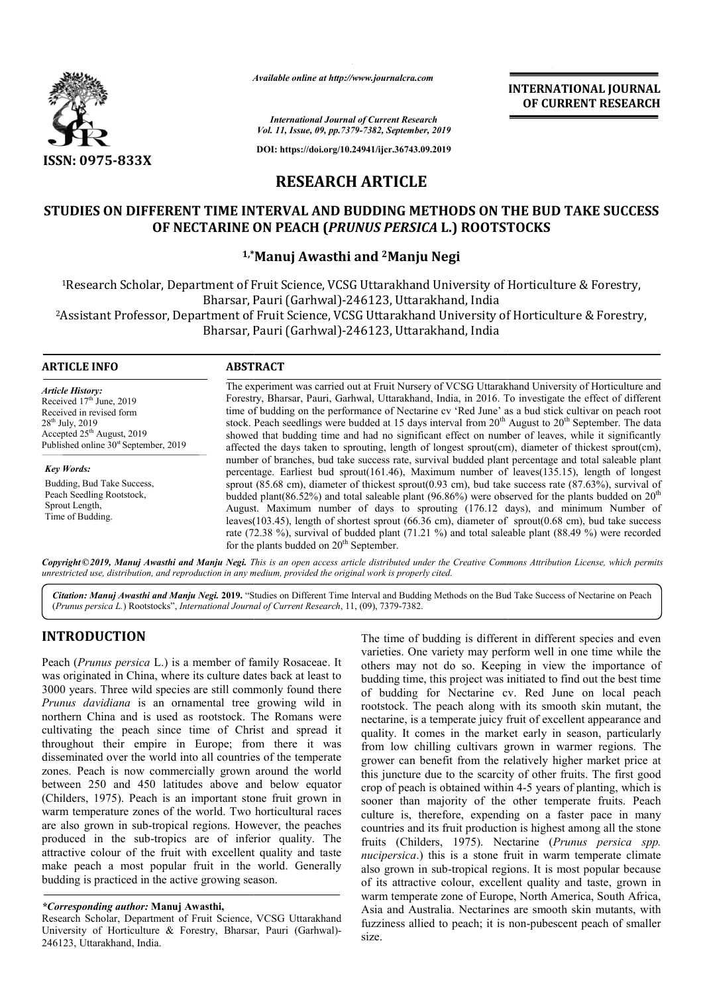

*Available online at http://www.journalcra.com*

**INTERNATIONAL JOURNAL OF CURRENT RESEARCH**

*International Journal of Current Research Vol. 11, Issue, 09, pp.7379-7382, September, 2019*

**DOI: https://doi.org/10.24941/ijcr.36743.09.2019**

# **RESEARCH ARTICLE**

## **STUDIES ON DIFFERENT TIME INTERVAL AND BUDDING METHODS ON THE BUD TAKE SUCCESS STUDIES ON BUDDING METHODS OF NECTARINE ON PEACH (** *PRUNUS PERSICA* **L.) ROOTSTOCKS L.) ROOTSTOCKS**

## **1,\* ,\*Manuj Awasthi and 2Manju Negi**

1Research Scholar, Department of Fruit Science, VCSG Uttarakhand University of Horticulture & Forestry, Research (Garhwal)-246123, Uttarakhand, India Bharsar, Pauri (Garhwal)-246123, Uttarakhand, India 1 Research Scholar, Department of Fruit Science, VCSG Uttarakhand University of Horticulture & Forestry,<br>Bharsar, Pauri (Garhwal)-246123, Uttarakhand, India<br>Assistant Professor, Department of Fruit Science, VCSG Uttarakhan Bharsar, Pauri (Garhwal) (Garhwal)-246123, Uttarakhand, India

#### **ARTICLE INFO ABSTRACT**

*Article History:* Received  $17<sup>th</sup>$  June, 2019 Received in revised form  $28^{th}$  July,  $2019$ Accepted 25<sup>th</sup> August, 2019 Published online  $30<sup>st</sup>$  September, 2019

*Key Words:* Budding, Bud Take Success, Peach Seedling Rootstock, Sprout Length, Time of Budding.

The experiment was carried out at Fruit Nursery of VCSG Uttarakhand University of Horticulture and Forestry, Bharsar, Pauri, Garhwal, Uttarakhand, India, in 2016. To investigate the effect of different time of budding on the performance of Nectarine cv 'Red June' as a bud stick cultivar on peach root Forestry, Bharsar, Pauri, Garhwal, Uttarakhand, India, in 2016. To investigate the effect of different time of budding on the performance of Nectarine cv 'Red June' as a bud stick cultivar on peach root stock. Peach seedl showed that budding time and had no significant effect on number of leaves, while it significantly showed that budding time and had no significant effect on number of leaves, while it significantly affected the days taken to sprouting, length of longest sprout(cm), diameter of thickest sprout(cm), number of branches, bud take success rate, survival budded plant percentage and total saleable plant percentage. Earliest bud sprout(161.46), Maximum number of leaves(135.15), length of longest sprout  $(85.68 \text{ cm})$ , diameter of thickest sprout $(0.93 \text{ cm})$ , bud take success rate  $(87.63\%)$ , survival of budded plant(86.52%) and total saleable plant (96.86%) were observed for the plants budded on  $20<sup>th</sup>$ August. Maximum number of days to sprouting (176.12 days), and minimum Number of leaves(103.45), length of shortest sprout (66.36 cm), diameter of sprout(0.68 cm), bud take success rate (72.38 %), survival of budded plant (71.21 %) and total saleable plant (88.49 %) were recorded for the plants budded on 20<sup>th</sup> September. number of branches, bud take success rate, survival budded plant percentage and total saleable plant percentage. Earliest bud sprout(161.46), Maximum number of leaves(135.15), length of longest sprout (85.68 cm), diameter August. Maximum number of days to sprouting (176.12 days), and minimum Number of leaves(103.45), length of shortest sprout (66.36 cm), diameter of sprout(0.68 cm), bud take success rate (72.38 %), survival of budded plant

Copyright©2019, Manuj Awasthi and Manju Negi. This is an open access article distributed under the Creative Commons Attribution License, which permits *unrestricted use, distribution, and reproduction in any medium, provided the original work is properly cited.*

Citation: Manuj Awasthi and Manju Negi. 2019. "Studies on Different Time Interval and Budding Methods on the Bud Take Success of Nectarine on Peach (*Prunus persica L.*) Rootstocks", *International Journal of Current Research*, 11, (09), 7379-7382.

# **INTRODUCTION**

Peach (*Prunus persica* L.) is a member of family Rosaceae. It was originated in China, where its culture dates back at least to 3000 years. Three wild species are still commonly found there *Prunus davidiana* is an ornamental tree growing wild in northern China and is used as rootstock. The Romans were cultivating the peach since time of Christ and spread it throughout their empire in Europe; from there it was disseminated over the world into all countries of the temperate zones. Peach is now commercially grown around the world between 250 and 450 latitudes above and below equator (Childers, 1975). Peach is an important stone fruit grown in warm temperature zones of the world. Two horticultural races are also grown in sub-tropical regions. However, the peaches produced in the sub-tropics are of inferior quality. The attractive colour of the fruit with excellent quality and taste make peach a most popular fruit in the world. budding is practiced in the active growing season. world into all countries of the temperate<br>commercially grown around the world<br>0 latitudes above and below equator<br>h is an important stone fruit grown in<br>es of the world. Two horticultural races<br>tropical regions. However, t

#### *\*Corresponding author:* **Manuj Awasthi,**

Research Scholar, Department of Fruit Science, VCSG Uttarakhand University of Horticulture & Forestry, Bharsar, Pauri (Garhwal) 246123, Uttarakhand, India. d in the active growing season.<br>
hor: Manuj Awasthi,<br>
epartment of Fruit Science, VCSG Uttarakhand<br>
culture & Forestry, Bharsar, Pauri (Garhwal)-

The time of budding is different in different species and even varieties. One variety may perform well in one time while the others may not do so. Keeping in view the importance of budding time, this project was initiated to find out the best time of budding for Nectarine cv. Red June on local peach rootstock. The peach along with its smooth skin mutant, the nectarine, is a temperate juicy fruit of excellent appearance and quality. It comes in the market early in season, particularly from low chilling cultivars grown in warmer regions. The grower can benefit from the relatively higher market price at this juncture due to the scarcity of other fruits. The first good crop of peach is obtained within 4-5 years of planting, which is sooner than majority of the other temperate fruits. Peach culture is, therefore, expending on a faster pace in many culture is, therefore, expending on a faster pace in many countries and its fruit production is highest among all the stone fruits (Childers, 1975). Nectarine ( *Prunus persica spp. nucipersica*.) this is a stone fruit in warm temperate climate also grown in sub-tropical regions. It is most popular because of its attractive colour, excellent quality and taste, grown in warm temperate zone of Europe, North America, South Africa, Asia and Australia. Nectarines are smooth skin mutants fuzziness allied to peach; it is non-pubescent peach of smaller size. varieties. One variety may perform well in one time while the others may not do so. Keeping in view the importance of budding time, this project was initiated to find out the best time of budding for Nectarine cv. Red June the tropical regions. It is most popular because<br>colour, excellent quality and taste, grown in<br>zone of Europe, North America, South Africa,<br>lia. Nectarines are smooth skin mutants, with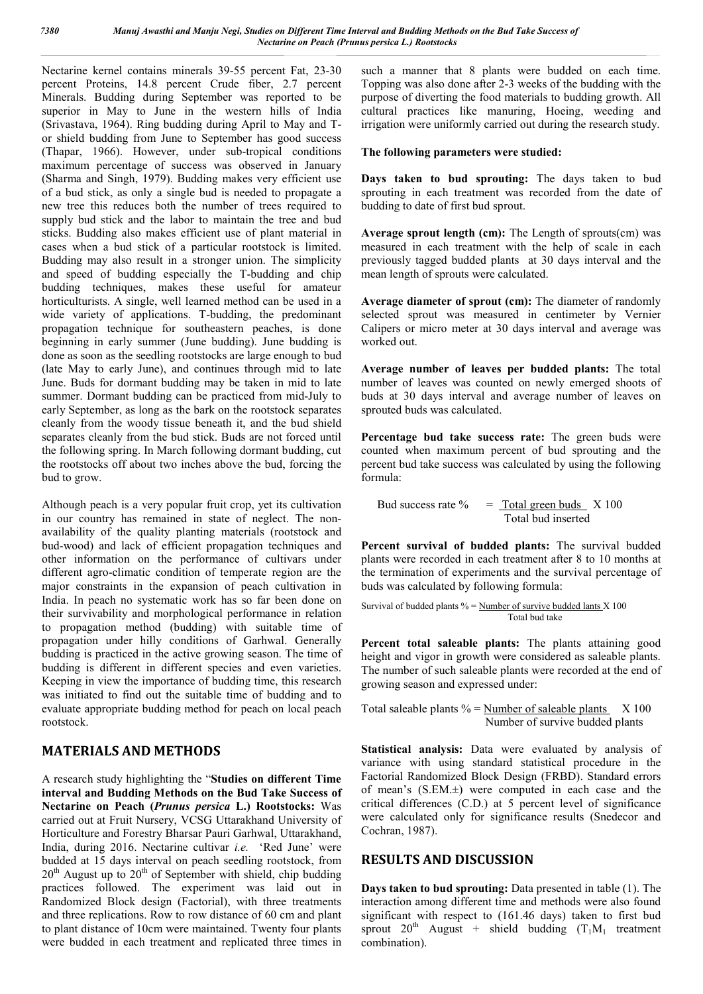Nectarine kernel contains minerals 39-55 percent Fat, 23-30 percent Proteins, 14.8 percent Crude fiber, 2.7 percent Minerals. Budding during September was reported to be superior in May to June in the western hills of India (Srivastava, 1964). Ring budding during April to May and Tor shield budding from June to September has good success (Thapar, 1966). However, under sub-tropical conditions maximum percentage of success was observed in January (Sharma and Singh, 1979). Budding makes very efficient use of a bud stick, as only a single bud is needed to propagate a new tree this reduces both the number of trees required to supply bud stick and the labor to maintain the tree and bud sticks. Budding also makes efficient use of plant material in cases when a bud stick of a particular rootstock is limited. Budding may also result in a stronger union. The simplicity and speed of budding especially the T-budding and chip budding techniques, makes these useful for amateur horticulturists. A single, well learned method can be used in a wide variety of applications. T-budding, the predominant propagation technique for southeastern peaches, is done beginning in early summer (June budding). June budding is done as soon as the seedling rootstocks are large enough to bud (late May to early June), and continues through mid to late June. Buds for dormant budding may be taken in mid to late summer. Dormant budding can be practiced from mid-July to early September, as long as the bark on the rootstock separates cleanly from the woody tissue beneath it, and the bud shield separates cleanly from the bud stick. Buds are not forced until the following spring. In March following dormant budding, cut the rootstocks off about two inches above the bud, forcing the bud to grow.

Although peach is a very popular fruit crop, yet its cultivation in our country has remained in state of neglect. The nonavailability of the quality planting materials (rootstock and bud-wood) and lack of efficient propagation techniques and other information on the performance of cultivars under different agro-climatic condition of temperate region are the major constraints in the expansion of peach cultivation in India. In peach no systematic work has so far been done on their survivability and morphological performance in relation to propagation method (budding) with suitable time of propagation under hilly conditions of Garhwal. Generally budding is practiced in the active growing season. The time of budding is different in different species and even varieties. Keeping in view the importance of budding time, this research was initiated to find out the suitable time of budding and to evaluate appropriate budding method for peach on local peach rootstock.

## **MATERIALS AND METHODS**

A research study highlighting the "**Studies on different Time interval and Budding Methods on the Bud Take Success of Nectarine on Peach (***Prunus persica* **L.) Rootstocks:** Was carried out at Fruit Nursery, VCSG Uttarakhand University of Horticulture and Forestry Bharsar Pauri Garhwal, Uttarakhand, India, during 2016. Nectarine cultivar *i.e.* 'Red June' were budded at 15 days interval on peach seedling rootstock, from  $20<sup>th</sup>$  August up to  $20<sup>th</sup>$  of September with shield, chip budding practices followed. The experiment was laid out in Randomized Block design (Factorial), with three treatments and three replications. Row to row distance of 60 cm and plant to plant distance of 10cm were maintained. Twenty four plants were budded in each treatment and replicated three times in

such a manner that 8 plants were budded on each time. Topping was also done after 2-3 weeks of the budding with the purpose of diverting the food materials to budding growth. All cultural practices like manuring, Hoeing, weeding and irrigation were uniformly carried out during the research study.

## **The following parameters were studied:**

**Days taken to bud sprouting:** The days taken to bud sprouting in each treatment was recorded from the date of budding to date of first bud sprout.

**Average sprout length (cm):** The Length of sprouts(cm) was measured in each treatment with the help of scale in each previously tagged budded plants at 30 days interval and the mean length of sprouts were calculated.

**Average diameter of sprout (cm):** The diameter of randomly selected sprout was measured in centimeter by Vernier Calipers or micro meter at 30 days interval and average was worked out.

**Average number of leaves per budded plants:** The total number of leaves was counted on newly emerged shoots of buds at 30 days interval and average number of leaves on sprouted buds was calculated.

**Percentage bud take success rate:** The green buds were counted when maximum percent of bud sprouting and the percent bud take success was calculated by using the following formula:

Bud success rate  $\%$  = Total green buds  $X$  100 Total bud inserted

**Percent survival of budded plants:** The survival budded plants were recorded in each treatment after 8 to 10 months at the termination of experiments and the survival percentage of buds was calculated by following formula:

$$
Survival of budget plants % = \underline{Number of survive budget lants X 100} \qquad \qquad \text{Total bud take}
$$

**Percent total saleable plants:** The plants attaining good height and vigor in growth were considered as saleable plants. The number of such saleable plants were recorded at the end of growing season and expressed under:

Total saleable plants  $\%$  = Number of saleable plants  $X$  100 Number of survive budded plants

**Statistical analysis:** Data were evaluated by analysis of variance with using standard statistical procedure in the Factorial Randomized Block Design (FRBD). Standard errors of mean's (S.EM.±) were computed in each case and the critical differences (C.D.) at 5 percent level of significance were calculated only for significance results (Snedecor and Cochran, 1987).

## **RESULTS AND DISCUSSION**

**Days taken to bud sprouting:** Data presented in table (1). The interaction among different time and methods were also found significant with respect to (161.46 days) taken to first bud sprout  $20^{th}$  August + shield budding  $(T_1M_1$  treatment combination).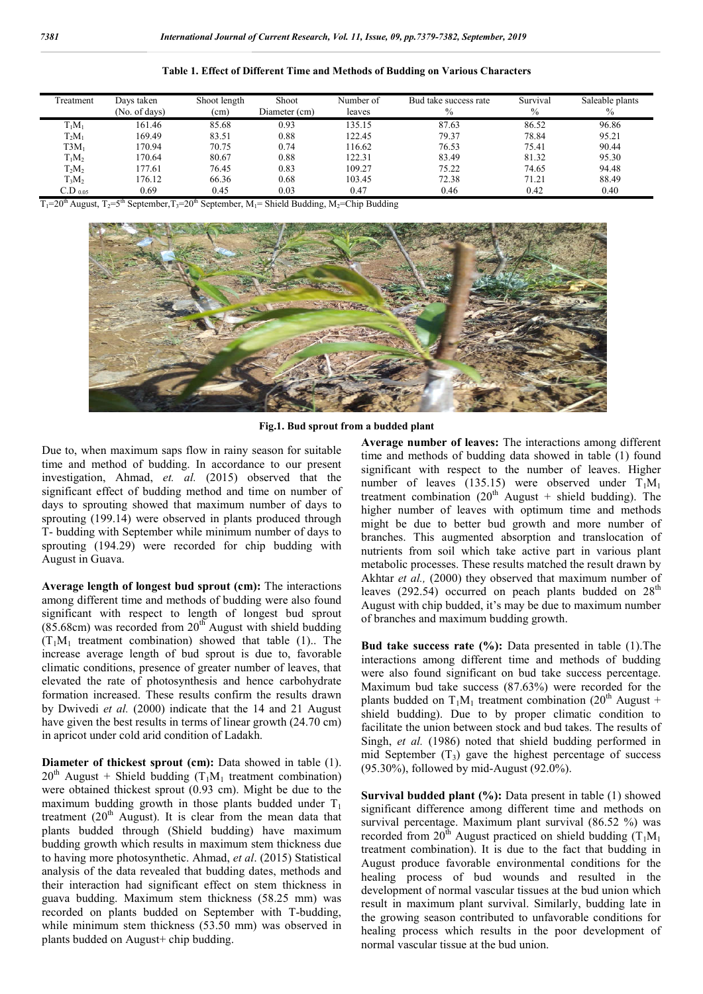| Freatment    | Days taken    | Shoot length | Shoot         | Number of | Bud take success rate | Survival      | Saleable plants |
|--------------|---------------|--------------|---------------|-----------|-----------------------|---------------|-----------------|
|              | (No. of days) | (cm)         | Diameter (cm) | leaves    | $\%$                  | $\frac{0}{0}$ | $\%$            |
| $T_1M_1$     | 161.46        | 85.68        | 0.93          | 135.15    | 87.63                 | 86.52         | 96.86           |
| $T_2M_1$     | 169.49        | 83.51        | 0.88          | 122.45    | 79.37                 | 78.84         | 95.21           |
| $T3M_1$      | 170.94        | 70.75        | 0.74          | 116.62    | 76.53                 | 75.41         | 90.44           |
| $T_1M_2$     | 170.64        | 80.67        | 0.88          | 122.31    | 83.49                 | 81.32         | 95.30           |
| $T_2M_2$     | 177.61        | 76.45        | 0.83          | 109.27    | 75.22                 | 74.65         | 94.48           |
| $T_3M_2$     | 176.12        | 66.36        | 0.68          | 103.45    | 72.38                 | 71.21         | 88.49           |
| $C.D_{0.05}$ | 0.69          | 0.45         | 0.03          | 0.47      | 0.46                  | 0.42          | 0.40            |

#### **Table 1. Effect of Different Time and Methods of Budding on Various Characters**

 $T_1=20$ <sup>th</sup> August,  $T_2=5$ <sup>th</sup> September,  $T_3=20$ <sup>th</sup> September, M<sub>1</sub>= Shield Budding, M<sub>2</sub>=Chip Budding



**Fig.1. Bud sprout from a budded plant**

Due to, when maximum saps flow in rainy season for suitable time and method of budding. In accordance to our present investigation, Ahmad, *et. al.* (2015) observed that the significant effect of budding method and time on number of days to sprouting showed that maximum number of days to sprouting (199.14) were observed in plants produced through T- budding with September while minimum number of days to sprouting (194.29) were recorded for chip budding with August in Guava.

**Average length of longest bud sprout (cm):** The interactions among different time and methods of budding were also found significant with respect to length of longest bud sprout  $(85.68cm)$  was recorded from  $20<sup>th</sup>$  August with shield budding  $(T<sub>1</sub>M<sub>1</sub>$  treatment combination) showed that table (1). The increase average length of bud sprout is due to, favorable climatic conditions, presence of greater number of leaves, that elevated the rate of photosynthesis and hence carbohydrate formation increased. These results confirm the results drawn by Dwivedi *et al.* (2000) indicate that the 14 and 21 August have given the best results in terms of linear growth (24.70 cm) in apricot under cold arid condition of Ladakh.

**Diameter of thickest sprout (cm):** Data showed in table (1).  $20^{th}$  August + Shield budding (T<sub>1</sub>M<sub>1</sub> treatment combination) were obtained thickest sprout (0.93 cm). Might be due to the maximum budding growth in those plants budded under  $T_1$ treatment  $(20<sup>th</sup>$  August). It is clear from the mean data that plants budded through (Shield budding) have maximum budding growth which results in maximum stem thickness due to having more photosynthetic. Ahmad, *et al*. (2015) Statistical analysis of the data revealed that budding dates, methods and their interaction had significant effect on stem thickness in guava budding. Maximum stem thickness (58.25 mm) was recorded on plants budded on September with T-budding, while minimum stem thickness (53.50 mm) was observed in plants budded on August+ chip budding.

**Average number of leaves:** The interactions among different time and methods of budding data showed in table (1) found significant with respect to the number of leaves. Higher number of leaves (135.15) were observed under  $T_1M_1$ treatment combination (20th August + shield budding). The higher number of leaves with optimum time and methods might be due to better bud growth and more number of branches. This augmented absorption and translocation of nutrients from soil which take active part in various plant metabolic processes. These results matched the result drawn by Akhtar *et al.*, (2000) they observed that maximum number of leaves (292.54) occurred on peach plants budded on  $28<sup>th</sup>$ August with chip budded, it's may be due to maximum number of branches and maximum budding growth.

**Bud take success rate (%):** Data presented in table (1).The interactions among different time and methods of budding were also found significant on bud take success percentage. Maximum bud take success (87.63%) were recorded for the plants budded on  $T_1M_1$  treatment combination (20<sup>th</sup> August + shield budding). Due to by proper climatic condition to facilitate the union between stock and bud takes. The results of Singh, *et al.* (1986) noted that shield budding performed in mid September  $(T_3)$  gave the highest percentage of success (95.30%), followed by mid-August (92.0%).

**Survival budded plant (%):** Data present in table (1) showed significant difference among different time and methods on survival percentage. Maximum plant survival (86.52 %) was recorded from  $20^{\text{th}}$  August practiced on shield budding (T<sub>1</sub>M<sub>1</sub>) treatment combination). It is due to the fact that budding in August produce favorable environmental conditions for the healing process of bud wounds and resulted in the development of normal vascular tissues at the bud union which result in maximum plant survival. Similarly, budding late in the growing season contributed to unfavorable conditions for healing process which results in the poor development of normal vascular tissue at the bud union.